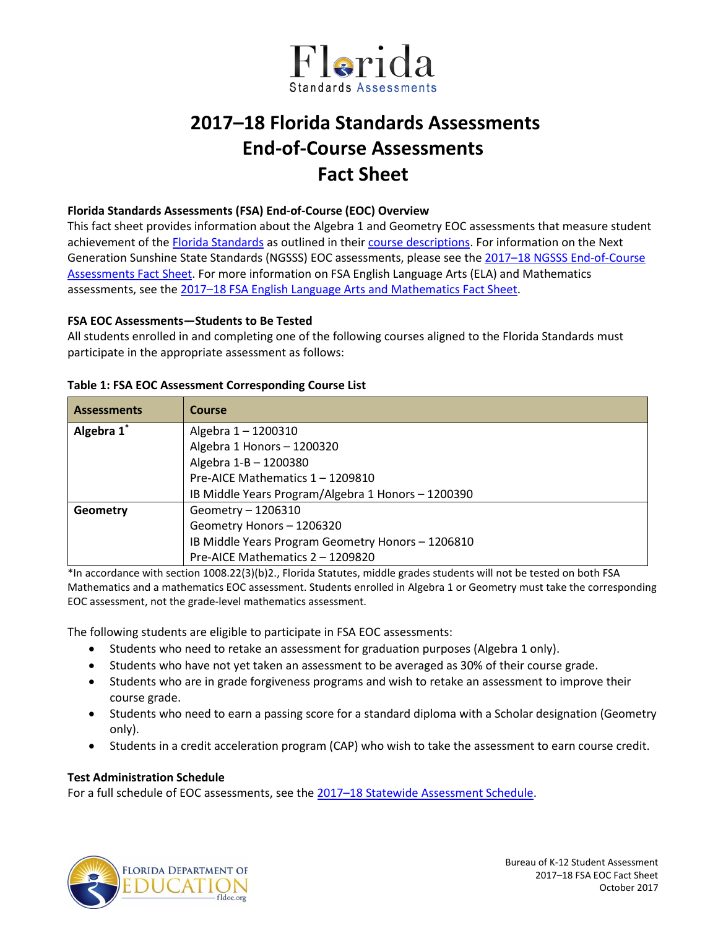

# **2017–18 Florida Standards Assessments End-of-Course Assessments Fact Sheet**

#### **Florida Standards Assessments (FSA) End-of-Course (EOC) Overview**

This fact sheet provides information about the Algebra 1 and Geometry EOC assessments that measure student achievement of the [Florida Standards](http://www.cpalms.org/Public/) as outlined in their [course descriptions.](http://www.cpalms.org/Public/search/Course#0) For information on the Next Generation Sunshine State Standards (NGSSS) EOC assessments, please see th[e 2017–18 NGSSS End-of-Course](http://www.fldoe.org/core/fileparse.php/5663/urlt/NGSSSEOCFS1718.pdf)  [Assessments Fact Sheet.](http://www.fldoe.org/core/fileparse.php/5663/urlt/NGSSSEOCFS1718.pdf) For more information on FSA English Language Arts (ELA) and Mathematics assessments, see the [2017–18 FSA English Language Arts](http://www.fldoe.org/core/fileparse.php/5663/urlt/FSAELA-MathFS1718.pdf) and Mathematics Fact Sheet.

## **FSA EOC Assessments—Students to Be Tested**

All students enrolled in and completing one of the following courses aligned to the Florida Standards must participate in the appropriate assessment as follows:

| <b>Assessments</b> | Course                                             |  |  |  |  |  |
|--------------------|----------------------------------------------------|--|--|--|--|--|
| Algebra 1*         | Algebra 1-1200310                                  |  |  |  |  |  |
|                    | Algebra 1 Honors - 1200320                         |  |  |  |  |  |
|                    | Algebra 1-B - 1200380                              |  |  |  |  |  |
|                    | Pre-AICE Mathematics 1 - 1209810                   |  |  |  |  |  |
|                    | IB Middle Years Program/Algebra 1 Honors - 1200390 |  |  |  |  |  |
| Geometry           | Geometry - 1206310                                 |  |  |  |  |  |
|                    | Geometry Honors - 1206320                          |  |  |  |  |  |
|                    | IB Middle Years Program Geometry Honors - 1206810  |  |  |  |  |  |
|                    | Pre-AICE Mathematics 2 - 1209820                   |  |  |  |  |  |

#### **Table 1: FSA EOC Assessment Corresponding Course List**

\*In accordance with section 1008.22(3)(b)2., Florida Statutes, middle grades students will not be tested on both FSA Mathematics and a mathematics EOC assessment. Students enrolled in Algebra 1 or Geometry must take the corresponding EOC assessment, not the grade-level mathematics assessment.

The following students are eligible to participate in FSA EOC assessments:

- Students who need to retake an assessment for graduation purposes (Algebra 1 only).
- Students who have not yet taken an assessment to be averaged as 30% of their course grade.
- Students who are in grade forgiveness programs and wish to retake an assessment to improve their course grade.
- Students who need to earn a passing score for a standard diploma with a Scholar designation (Geometry only).
- Students in a credit acceleration program (CAP) who wish to take the assessment to earn course credit.

## **Test Administration Schedule**

For a full schedule of EOC assessments, see the [2017–18 Statewide Assessment Schedule.](https://info.fldoe.org/docushare/dsweb/Get/Document-7972/dps-2017-84a.pdf)

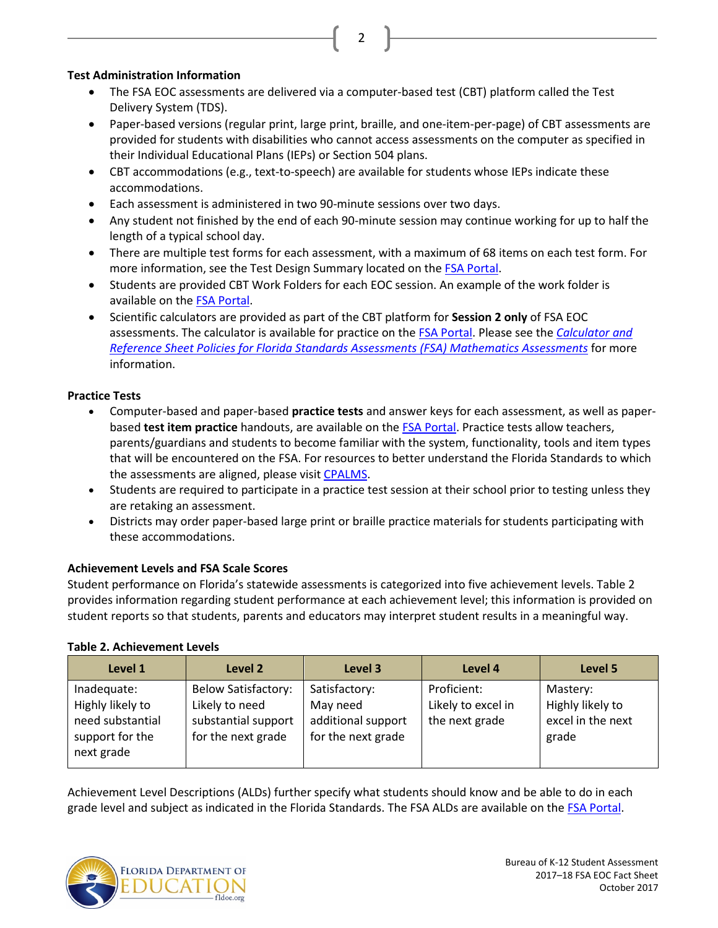## **Test Administration Information**

• The FSA EOC assessments are delivered via a computer-based test (CBT) platform called the Test Delivery System (TDS).

2

- Paper-based versions (regular print, large print, braille, and one-item-per-page) of CBT assessments are provided for students with disabilities who cannot access assessments on the computer as specified in their Individual Educational Plans (IEPs) or Section 504 plans.
- CBT accommodations (e.g., text-to-speech) are available for students whose IEPs indicate these accommodations.
- Each assessment is administered in two 90-minute sessions over two days.
- Any student not finished by the end of each 90-minute session may continue working for up to half the length of a typical school day.
- There are multiple test forms for each assessment, with a maximum of 68 items on each test form. For more information, see the Test Design Summary located on the [FSA Portal.](http://www.fsassessments.org/)
- Students are provided CBT Work Folders for each EOC session. An example of the work folder is available on the [FSA Portal.](http://fsassessments.org/)
- Scientific calculators are provided as part of the CBT platform for **Session 2 only** of FSA EOC assessments. The calculator is available for practice on the FSA [Portal.](http://www.fsassessments.org/) Please see the *[Calculator and](http://www.fsassessments.org/wp-content/uploads/2014/06/FSA-Calculator-and-Reference-Sheet-Policy-Updated-07062016.pdf)  [Reference Sheet Policies for Florida Standards Assessments \(FSA\) Mathematics Assessments](http://www.fsassessments.org/wp-content/uploads/2014/06/FSA-Calculator-and-Reference-Sheet-Policy-Updated-07062016.pdf)* for more information.

# **Practice Tests**

- Computer-based and paper-based **practice tests** and answer keys for each assessment, as well as paperbased **test item practice** handouts, are available on the [FSA Portal.](http://fsassessments.org/) Practice tests allow teachers, parents/guardians and students to become familiar with the system, functionality, tools and item types that will be encountered on the FSA. For resources to better understand the Florida Standards to which the assessments are aligned, please visit [CPALMS.](http://www.floridastandards.org/)
- Students are required to participate in a practice test session at their school prior to testing unless they are retaking an assessment.
- Districts may order paper-based large print or braille practice materials for students participating with these accommodations.

# **Achievement Levels and FSA Scale Scores**

Student performance on Florida's statewide assessments is categorized into five achievement levels. Table 2 provides information regarding student performance at each achievement level; this information is provided on student reports so that students, parents and educators may interpret student results in a meaningful way.

# **Table 2. Achievement Levels**

| Level 1                                                                              | Level 2                                                                                   | Level 3                                                               | Level 4                                             | Level 5                                                    |
|--------------------------------------------------------------------------------------|-------------------------------------------------------------------------------------------|-----------------------------------------------------------------------|-----------------------------------------------------|------------------------------------------------------------|
| Inadequate:<br>Highly likely to<br>need substantial<br>support for the<br>next grade | <b>Below Satisfactory:</b><br>Likely to need<br>substantial support<br>for the next grade | Satisfactory:<br>May need<br>additional support<br>for the next grade | Proficient:<br>Likely to excel in<br>the next grade | Mastery:<br>Highly likely to<br>excel in the next<br>grade |

Achievement Level Descriptions (ALDs) further specify what students should know and be able to do in each grade level and subject as indicated in the Florida Standards. The FSA ALDs are available on the [FSA Portal.](http://www.fsassessments.com/)